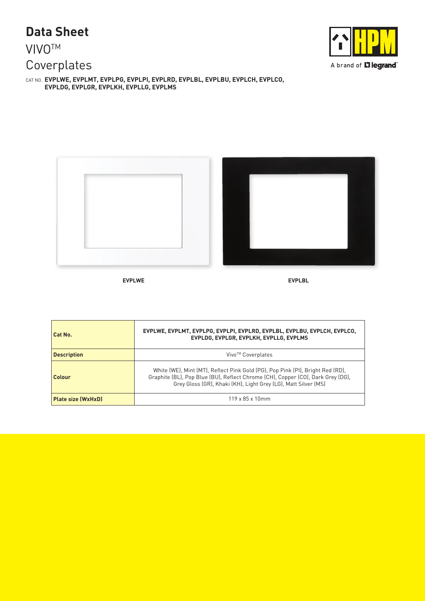## **Data Sheet**

## **VIVO<sup>™</sup>** Coverplates

CAT NO. **EVPLWE, EVPLMT, EVPLPG, EVPLPI, EVPLRD, EVPLBL, EVPLBU, EVPLCH, EVPLCO, EVPLDG, EVPLGR, EVPLKH, EVPLLG, EVPLMS**





| Cat No.                   | EVPLWE, EVPLMT, EVPLPG, EVPLPI, EVPLRD, EVPLBL, EVPLBU, EVPLCH, EVPLCO,<br>EVPLDG, EVPLGR, EVPLKH, EVPLLG, EVPLMS                                                                                                                   |  |  |
|---------------------------|-------------------------------------------------------------------------------------------------------------------------------------------------------------------------------------------------------------------------------------|--|--|
| <b>Description</b>        | Vivo <sup>™</sup> Coverplates                                                                                                                                                                                                       |  |  |
| Colour                    | White (WE), Mint (MT), Reflect Pink Gold (PG), Pop Pink (PI), Bright Red (RD),<br>Graphite (BL), Pop Blue (BU), Reflect Chrome (CH), Copper (CO), Dark Grey (DG),<br>Grey Gloss (GR), Khaki (KH), Light Grey (LG), Matt Silver (MS) |  |  |
| <b>Plate size (WxHxD)</b> | $119 \times 85 \times 10$ mm                                                                                                                                                                                                        |  |  |